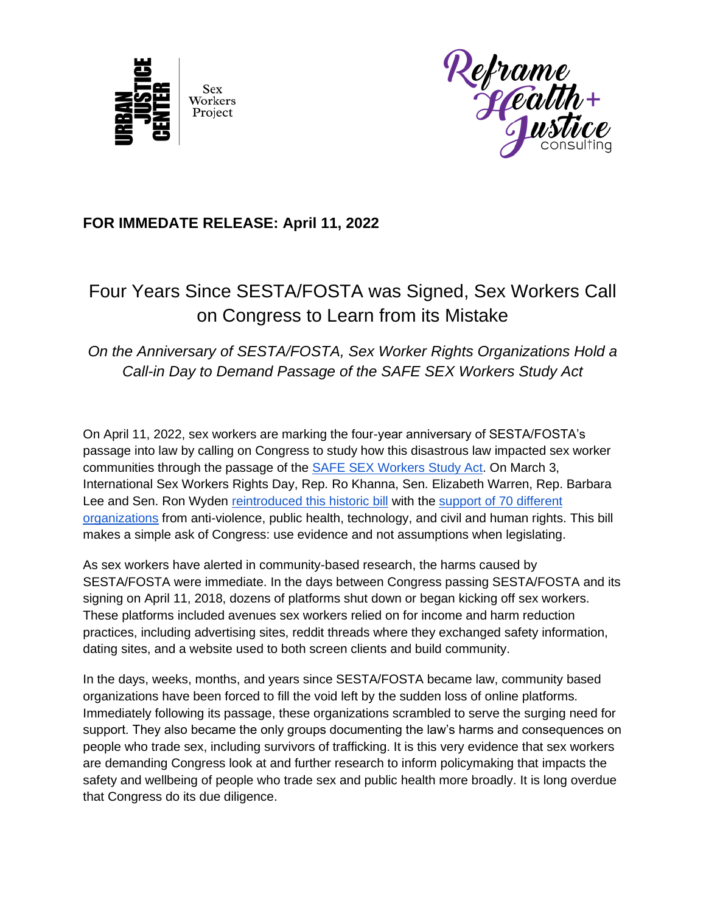



## **FOR IMMEDATE RELEASE: April 11, 2022**

## Four Years Since SESTA/FOSTA was Signed, Sex Workers Call on Congress to Learn from its Mistake

## *On the Anniversary of SESTA/FOSTA, Sex Worker Rights Organizations Hold a Call-in Day to Demand Passage of the SAFE SEX Workers Study Act*

On April 11, 2022, sex workers are marking the four-year anniversary of SESTA/FOSTA's passage into law by calling on Congress to study how this disastrous law impacted sex worker communities through the passage of the [SAFE SEX Workers Study Act.](https://www.warren.senate.gov/imo/media/doc/SSWSA%20117th%20Congress%20-%20FINAL.pdf) On March 3, International Sex Workers Rights Day, Rep. Ro Khanna, Sen. Elizabeth Warren, Rep. Barbara Lee and Sen. Ron Wyden [reintroduced this historic bill](https://www.warren.senate.gov/newsroom/press-releases/senator-warren-wyden-representative-khanna-lee-introduce-safe-sex-workers-study-act) with the [support of 70 different](https://drive.google.com/file/d/16H3SQ-fqUR7oQnhlQ9BvKHoPLJyNvvW9/view?usp=sharing)  [organizations](https://drive.google.com/file/d/16H3SQ-fqUR7oQnhlQ9BvKHoPLJyNvvW9/view?usp=sharing) from anti-violence, public health, technology, and civil and human rights. This bill makes a simple ask of Congress: use evidence and not assumptions when legislating.

As sex workers have alerted in community-based research, the harms caused by SESTA/FOSTA were immediate. In the days between Congress passing SESTA/FOSTA and its signing on April 11, 2018, dozens of platforms shut down or began kicking off sex workers. These platforms included avenues sex workers relied on for income and harm reduction practices, including advertising sites, reddit threads where they exchanged safety information, dating sites, and a website used to both screen clients and build community.

In the days, weeks, months, and years since SESTA/FOSTA became law, community based organizations have been forced to fill the void left by the sudden loss of online platforms. Immediately following its passage, these organizations scrambled to serve the surging need for support. They also became the only groups documenting the law's harms and consequences on people who trade sex, including survivors of trafficking. It is this very evidence that sex workers are demanding Congress look at and further research to inform policymaking that impacts the safety and wellbeing of people who trade sex and public health more broadly. It is long overdue that Congress do its due diligence.